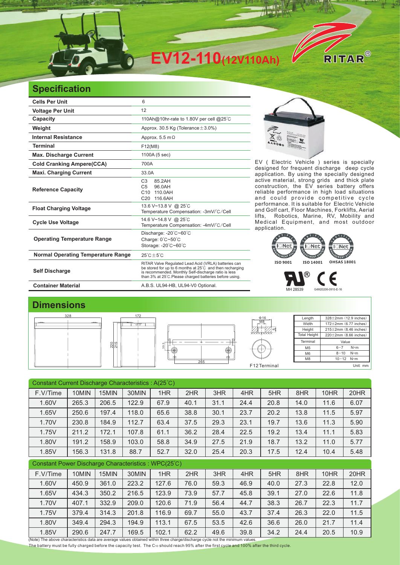

## **Specification**

| <b>Cells Per Unit</b>                     | 6                                                                                                                                                                                                                                   |  |  |  |  |  |
|-------------------------------------------|-------------------------------------------------------------------------------------------------------------------------------------------------------------------------------------------------------------------------------------|--|--|--|--|--|
| <b>Voltage Per Unit</b>                   | 12                                                                                                                                                                                                                                  |  |  |  |  |  |
| <b>Capacity</b>                           | 110Ah@10hr-rate to 1.80V per cell @25°C                                                                                                                                                                                             |  |  |  |  |  |
| Weight                                    | Approx. 30.5 Kg (Tolerance $\pm$ 3.0%)                                                                                                                                                                                              |  |  |  |  |  |
| <b>Internal Resistance</b>                | Approx. 5.5 m $\Omega$                                                                                                                                                                                                              |  |  |  |  |  |
| <b>Terminal</b>                           | F12(M8)                                                                                                                                                                                                                             |  |  |  |  |  |
| <b>Max. Discharge Current</b>             | 1100A (5 sec)                                                                                                                                                                                                                       |  |  |  |  |  |
| <b>Cold Cranking Ampere(CCA)</b>          | 700A                                                                                                                                                                                                                                |  |  |  |  |  |
| <b>Maxi. Charging Current</b>             | 33.0A                                                                                                                                                                                                                               |  |  |  |  |  |
| <b>Reference Capacity</b>                 | C3<br>85.2AH<br>C <sub>5</sub><br>96.0AH<br>C10 110.0AH<br>116.6AH<br>C <sub>20</sub>                                                                                                                                               |  |  |  |  |  |
| <b>Float Charging Voltage</b>             | 13.6 V~13.8 V @ 25°C<br>Temperature Compensation: -3mV/°C/Cell                                                                                                                                                                      |  |  |  |  |  |
| <b>Cycle Use Voltage</b>                  | 14.6 V~14.8 V @ 25°C<br>Temperature Compensation: -4mV/°C/Cell                                                                                                                                                                      |  |  |  |  |  |
| <b>Operating Temperature Range</b>        | Discharge: $-20^{\circ}$ C $-60^{\circ}$ C<br>Charge: 0°C~50°C<br>Storage: -20°C~60°C                                                                                                                                               |  |  |  |  |  |
| <b>Normal Operating Temperature Range</b> | $25^{\circ}$ C + $5^{\circ}$ C                                                                                                                                                                                                      |  |  |  |  |  |
| <b>Self Discharge</b>                     | RITAR Valve Regulated Lead Acid (VRLA) batteries can<br>be stored for up to 6 months at 25°C and then recharging<br>is recommended. Monthly Self-discharge ratio is less<br>than 3% at 25°C. Please charged batteries before using. |  |  |  |  |  |
| <b>Container Material</b>                 | A.B.S. UL94-HB, UL94-V0 Optional.                                                                                                                                                                                                   |  |  |  |  |  |



EV ( Electric Vehicle ) series is specially designed for frequent discharge deep cycle application. By using the specially designed active material, strong grids and thick plate construction, the EV series battery offers reliable performance in high load situations and could provide competitive cycle performance. It is suitable for Electric Vehicle and Golf cart, Floor Machines, Forklifts, Aerial lifts, Robotics, Marine, RV, Mobility and Medical Equipment, and most outdoor application. It is suitable for



MH 28539 G4M20206-0910-E-16

## **Dimensions**



| Constant Current Discharge Characteristics: A(25°C)                                                                                    |       |       |       |       |      |      |      |      |      |      |      |
|----------------------------------------------------------------------------------------------------------------------------------------|-------|-------|-------|-------|------|------|------|------|------|------|------|
| F.V/Time                                                                                                                               | 10MIN | 15MIN | 30MIN | 1HR   | 2HR  | 3HR  | 4HR  | 5HR  | 8HR  | 10HR | 20HR |
| 1.60V                                                                                                                                  | 265.3 | 206.5 | 122.9 | 67.9  | 40.1 | 31.1 | 24.4 | 20.8 | 14.0 | 11.6 | 6.07 |
| 1.65V                                                                                                                                  | 250.6 | 197.4 | 118.0 | 65.6  | 38.8 | 30.1 | 23.7 | 20.2 | 13.8 | 11.5 | 5.97 |
| 1.70V                                                                                                                                  | 230.8 | 184.9 | 112.7 | 63.4  | 37.5 | 29.3 | 23.1 | 19.7 | 13.6 | 11.3 | 5.90 |
| 1.75V                                                                                                                                  | 211.2 | 172.1 | 107.8 | 61.1  | 36.2 | 28.4 | 22.5 | 19.2 | 13.4 | 11.1 | 5.83 |
| 1.80V                                                                                                                                  | 191.2 | 158.9 | 103.0 | 58.8  | 34.9 | 27.5 | 21.9 | 18.7 | 13.2 | 11.0 | 5.77 |
| 1.85V                                                                                                                                  | 156.3 | 131.8 | 88.7  | 52.7  | 32.0 | 25.4 | 20.3 | 17.5 | 12.4 | 10.4 | 5.48 |
| Constant Power Discharge Characteristics: WPC(25°C)                                                                                    |       |       |       |       |      |      |      |      |      |      |      |
| F.V/Time                                                                                                                               | 10MIN | 15MIN | 30MIN | 1HR   | 2HR  | 3HR  | 4HR  | 5HR  | 8HR  | 10HR | 20HR |
| 1.60V                                                                                                                                  | 450.9 | 361.0 | 223.2 | 127.6 | 76.0 | 59.3 | 46.9 | 40.0 | 27.3 | 22.8 | 12.0 |
| 1.65V                                                                                                                                  | 434.3 | 350.2 | 216.5 | 123.9 | 73.9 | 57.7 | 45.8 | 39.1 | 27.0 | 22.6 | 11.8 |
|                                                                                                                                        |       |       |       |       |      |      |      |      |      |      |      |
| 1.70V                                                                                                                                  | 407.1 | 332.9 | 209.0 | 120.6 | 71.9 | 56.4 | 44.7 | 38.3 | 26.7 | 22.3 | 11.7 |
| 1.75V                                                                                                                                  | 379.4 | 314.3 | 201.8 | 116.9 | 69.7 | 55.0 | 43.7 | 37.4 | 26.3 | 22.0 | 11.5 |
| 1.80V                                                                                                                                  | 349.4 | 294.3 | 194.9 | 113.1 | 67.5 | 53.5 | 42.6 | 36.6 | 26.0 | 21.7 | 11.4 |
| 1.85V<br>(Note) The above characteristics data are average values obtained within three charge/discharge cycle not the minimum values. | 290.6 | 247.7 | 169.5 | 102.1 | 62.2 | 49.6 | 39.8 | 34.2 | 24.4 | 20.5 | 10.9 |

The battery must be fully charged before the capacity test. The C10 should reach 95% after the first cycle and 100% after the third cycle.